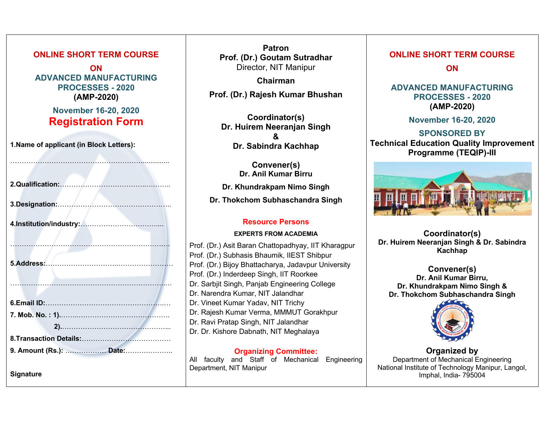#### **ONLINE SHORT TERM COURSE**

**ON ADVANCED MANUFACTURING PROCESSES - 2020 (AMP-2020)**

> **November 16-20, 2020 Registration Form**

…………………………………………………...............

**1.Name of applicant (in Block Letters):**

| 9. Amount (Rs.):  Date: |
|-------------------------|
| <b>Signature</b>        |

**Patron Prof. (Dr.) Goutam Sutradhar** Director, NIT Manipur

**Chairman Prof. (Dr.) Rajesh Kumar Bhushan**

**Coordinator(s) Dr. Huirem Neeranjan Singh & Dr. Sabindra Kachhap** 

**Convener(s) Dr. Anil Kumar Birru Dr. Khundrakpam Nimo Singh Dr. Thokchom Subhaschandra Singh**

### **Resource Persons**

#### **EXPERTS FROM ACADEMIA**

Prof. (Dr.) Asit Baran Chattopadhyay, IIT Kharagpur Prof. (Dr.) Subhasis Bhaumik, IIEST Shibpur Prof. (Dr.) Bijoy Bhattacharya, Jadavpur University Prof. (Dr.) Inderdeep Singh, IIT Roorkee Dr. Sarbjit Singh, Panjab Engineering College Dr. Narendra Kumar, NIT Jalandhar Dr. Vineet Kumar Yadav, NIT Trichy Dr. Rajesh Kumar Verma, MMMUT Gorakhpur Dr. Ravi Pratap Singh, NIT Jalandhar Dr. Dr. Kishore Dabnath, NIT Meghalaya

**Organizing Committee:** All faculty and Staff of Mechanical Engineering Department, NIT Manipur

## **ONLINE SHORT TERM COURSE**

**ON** 

#### **ADVANCED MANUFACTURING PROCESSES - 2020 (AMP-2020)**

**November 16-20, 2020**

### **SPONSORED BY Technical Education Quality Improvement Programme (TEQIP)-III**



**Coordinator(s) Dr. Huirem Neeranjan Singh & Dr. Sabindra Kachhap** 

**Convener(s) Dr. Anil Kumar Birru, Dr. Khundrakpam Nimo Singh & Dr. Thokchom Subhaschandra Singh**



**Organized by** Department of Mechanical Engineering National Institute of Technology Manipur, Langol, Imphal, India- 795004